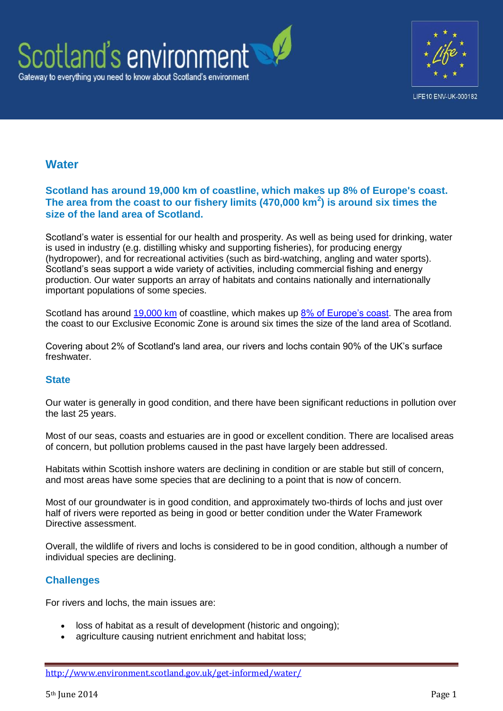



# **Water**

### **Scotland has around 19,000 km of coastline, which makes up 8% of Europe's coast. The area from the coast to our fishery limits (470,000 km<sup>2</sup> ) is around six times the size of the land area of Scotland.**

Scotland's water is essential for our health and prosperity. As well as being used for drinking, water is used in industry (e.g. distilling whisky and supporting fisheries), for producing energy (hydropower), and for recreational activities (such as bird-watching, angling and water sports). Scotland's seas support a wide variety of activities, including commercial fishing and energy production. Our water supports an array of habitats and contains nationally and internationally important populations of some species.

Scotland has around [19,000 km](http://www.scotland.gov.uk/Resource/Doc/345830/0115121.pdf) of coastline, which makes up [8% of Europe's coast.](http://www.scotland.gov.uk/Publications/2008/04/03093608/0) The area from the coast to our Exclusive Economic Zone is around six times the size of the land area of Scotland.

Covering about 2% of Scotland's land area, our rivers and lochs contain 90% of the UK's surface freshwater.

### **State**

Our water is generally in good condition, and there have been significant reductions in pollution over the last 25 years.

Most of our seas, coasts and estuaries are in good or excellent condition. There are localised areas of concern, but pollution problems caused in the past have largely been addressed.

Habitats within Scottish inshore waters are declining in condition or are stable but still of concern, and most areas have some species that are declining to a point that is now of concern.

Most of our groundwater is in good condition, and approximately two-thirds of lochs and just over half of rivers were reported as being in good or better condition under the Water Framework Directive assessment.

Overall, the wildlife of rivers and lochs is considered to be in good condition, although a number of individual species are declining.

### **Challenges**

For rivers and lochs, the main issues are:

- loss of habitat as a result of development (historic and ongoing);
- agriculture causing nutrient enrichment and habitat loss;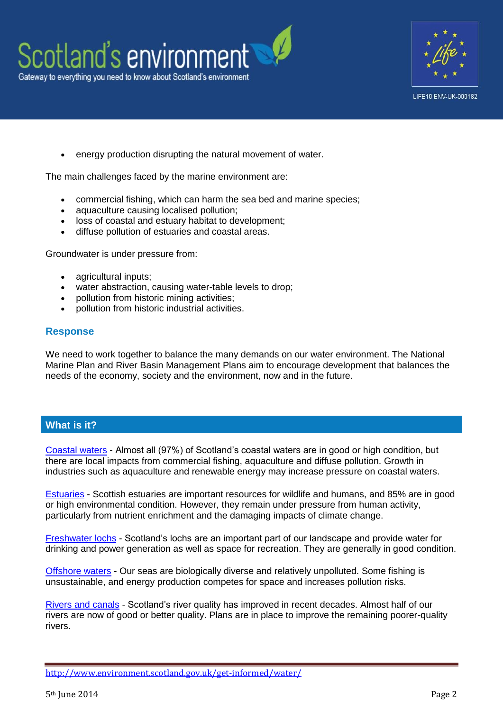



energy production disrupting the natural movement of water.

The main challenges faced by the marine environment are:

- commercial fishing, which can harm the sea bed and marine species;
- aquaculture causing localised pollution;
- loss of coastal and estuary habitat to development;
- diffuse pollution of estuaries and coastal areas.

Groundwater is under pressure from:

- agricultural inputs;
- water abstraction, causing water-table levels to drop;
- pollution from historic mining activities;
- pollution from historic industrial activities.

#### **Response**

We need to work together to balance the many demands on our water environment. The National Marine Plan and River Basin Management Plans aim to encourage development that balances the needs of the economy, society and the environment, now and in the future.

#### **What is it?**

[Coastal waters](http://www.environment.scotland.gov.uk/get-informed/water/coastal-waters/) - Almost all (97%) of Scotland's coastal waters are in good or high condition, but there are local impacts from commercial fishing, aquaculture and diffuse pollution. Growth in industries such as aquaculture and renewable energy may increase pressure on coastal waters.

[Estuaries](http://www.environment.scotland.gov.uk/get-informed/water/estuaries/) - Scottish estuaries are important resources for wildlife and humans, and 85% are in good or high environmental condition. However, they remain under pressure from human activity, particularly from nutrient enrichment and the damaging impacts of climate change.

[Freshwater lochs](http://www.environment.scotland.gov.uk/get-informed/water/freshwater-lochs/) - Scotland's lochs are an important part of our landscape and provide water for drinking and power generation as well as space for recreation. They are generally in good condition.

[Offshore waters](http://www.environment.scotland.gov.uk/get-informed/water/offshore-waters/) - Our seas are biologically diverse and relatively unpolluted. Some fishing is unsustainable, and energy production competes for space and increases pollution risks.

[Rivers and canals](http://www.environment.scotland.gov.uk/get-informed/water/rivers-and-canals/) - Scotland's river quality has improved in recent decades. Almost half of our rivers are now of good or better quality. Plans are in place to improve the remaining poorer-quality rivers.

<http://www.environment.scotland.gov.uk/get-informed/water/>